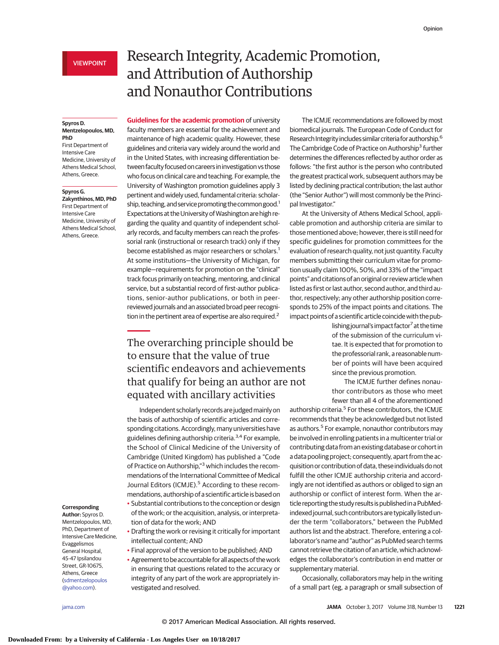#### **Spyros D. Mentzelopoulos, MD, PhD**

First Department of Intensive Care Medicine, University of Athens Medical School, Athens, Greece.

## **Spyros G.**

**Zakynthinos, MD, PhD** First Department of Intensive Care Medicine, University of Athens Medical School, Athens, Greece.

### **Corresponding**

**Author:** Spyros D. Mentzelopoulos, MD, PhD, Department of Intensive Care Medicine, Evaggelismos General Hospital, 45-47 Ipsilandou Street, GR-10675, Athens, Greece [\(sdmentzelopoulos](mailto:sdmentzelopoulos@yahoo.com) [@yahoo.com\)](mailto:sdmentzelopoulos@yahoo.com).

# Research Integrity, Academic Promotion, and Attribution of Authorship and Nonauthor Contributions

**Guidelines for the academic promotion** of university faculty members are essential for the achievement and maintenance of high academic quality. However, these guidelines and criteria vary widely around the world and in the United States, with increasing differentiation between faculty focused on careers in investigation vs those who focus on clinical care and teaching. For example, the University of Washington promotion guidelines apply 3 pertinent and widely used, fundamental criteria: scholarship, teaching, and service promoting the common good.<sup>1</sup> Expectations at the University of Washington are high regarding the quality and quantity of independent scholarly records, and faculty members can reach the professorial rank (instructional or research track) only if they become established as major researchers or scholars.<sup>1</sup> At some institutions—the University of Michigan, for example—requirements for promotion on the "clinical" track focus primarily on teaching, mentoring, and clinical service, but a substantial record of first-author publications, senior-author publications, or both in peerreviewed journals and an associated broad peer recognition in the pertinent area of expertise are also required.<sup>2</sup>

The overarching principle should be to ensure that the value of true scientific endeavors and achievements that qualify for being an author are not equated with ancillary activities

Independent scholarly records are judgedmainly on the basis of authorship of scientific articles and corresponding citations. Accordingly, many universities have guidelines defining authorship criteria.<sup>3,4</sup> For example, the School of Clinical Medicine of the University of Cambridge (United Kingdom) has published a "Code of Practice on Authorship,"<sup>3</sup> which includes the recommendations of the International Committee of Medical Journal Editors (ICMJE).<sup>5</sup> According to these recommendations, authorship of a scientific article is based on

- Substantial contributions to the conception or design of the work; or the acquisition, analysis, or interpretation of data for the work; AND
- Drafting the work or revising it critically for important intellectual content; AND
- Final approval of the version to be published; AND
- Agreement to be accountable for all aspects of the work in ensuring that questions related to the accuracy or integrity of any part of the work are appropriately investigated and resolved.

The ICMJE recommendations are followed by most biomedical journals. The European Code of Conduct for Research Integrity includes similar criteria for authorship.<sup>6</sup> The Cambridge Code of Practice on Authorship<sup>3</sup> further determines the differences reflected by author order as follows: "the first author is the person who contributed the greatest practical work, subsequent authors may be listed by declining practical contribution; the last author (the "Senior Author") will most commonly be the Principal Investigator."

At the University of Athens Medical School, applicable promotion and authorship criteria are similar to those mentioned above; however, there is still need for specific guidelines for promotion committees for the evaluation of research quality, not just quantity. Faculty members submitting their curriculum vitae for promotion usually claim 100%, 50%, and 33% of the "impact points" and citations of an original or review article when listed as first or last author, second author, and third author, respectively; any other authorship position corresponds to 25% of the impact points and citations. The impact points of a scientific article coincide with the pub-

> lishing journal's impact factor<sup>7</sup> at the time of the submission of the curriculum vitae. It is expected that for promotion to the professorial rank, a reasonable number of points will have been acquired since the previous promotion.

> The ICMJE further defines nonauthor contributors as those who meet fewer than all 4 of the aforementioned

authorship criteria.<sup>5</sup> For these contributors, the ICMJE recommends that they be acknowledged but not listed as authors.<sup>5</sup> For example, nonauthor contributors may be involved in enrolling patients in a multicenter trial or contributing data from an existing database or cohort in a data pooling project; consequently, apart from the acquisition or contribution of data, these individuals do not fulfill the other ICMJE authorship criteria and accordingly are not identified as authors or obliged to sign an authorship or conflict of interest form. When the article reporting the study results is published ina PubMedindexed journal, such contributors are typically listed under the term "collaborators," between the PubMed authors list and the abstract. Therefore, entering a collaborator's name and "author" as PubMed search terms cannot retrieve the citation of an article, which acknowledges the collaborator's contribution in end matter or supplementary material.

Occasionally, collaborators may help in the writing of a small part (eg, a paragraph or small subsection of